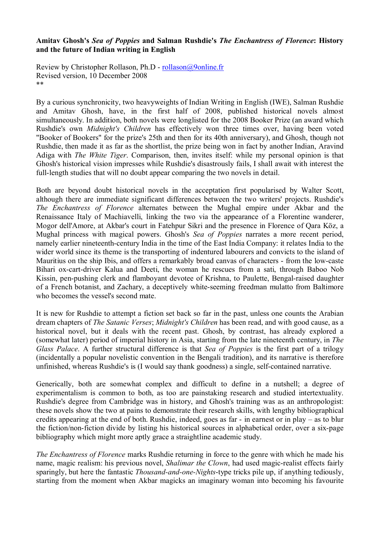## **Amitav Ghosh's** *Sea of Poppies* **and Salman Rushdie's** *The Enchantress of Florence***: History and the future of Indian writing in English**

Review by Christopher Rollason, Ph.D - rollason@9online.fr Revised version, 10 December 2008 \*\*

By a curious synchronicity, two heavyweights of Indian Writing in English (IWE), Salman Rushdie and Amitav Ghosh, have, in the first half of 2008, published historical novels almost simultaneously. In addition, both novels were longlisted for the 2008 Booker Prize (an award which Rushdie's own *Midnight's Children* has effectively won three times over, having been voted "Booker of Bookers" for the prize's 25th and then for its 40th anniversary), and Ghosh, though not Rushdie, then made it as far as the shortlist, the prize being won in fact by another Indian, Aravind Adiga with *The White Tiger*. Comparison, then, invites itself: while my personal opinion is that Ghosh's historical vision impresses while Rushdie's disastrously fails, I shall await with interest the full-length studies that will no doubt appear comparing the two novels in detail.

Both are beyond doubt historical novels in the acceptation first popularised by Walter Scott, although there are immediate significant differences between the two writers' projects. Rushdie's *The Enchantress of Florence* alternates between the Mughal empire under Akbar and the Renaissance Italy of Machiavelli, linking the two via the appearance of a Florentine wanderer, Mogor dell'Amore, at Akbar's court in Fatehpur Sikri and the presence in Florence of Qara Köz, a Mughal princess with magical powers. Ghosh's *Sea of Poppies* narrates a more recent period, namely earlier nineteenth-century India in the time of the East India Company: it relates India to the wider world since its theme is the transporting of indentured labourers and convicts to the island of Mauritius on the ship Ibis, and offers a remarkably broad canvas of characters - from the low-caste Bihari ox-cart-driver Kalua and Deeti, the woman he rescues from a sati, through Baboo Nob Kissin, pen-pushing clerk and flamboyant devotee of Krishna, to Paulette, Bengal-raised daughter of a French botanist, and Zachary, a deceptively white-seeming freedman mulatto from Baltimore who becomes the vessel's second mate.

It is new for Rushdie to attempt a fiction set back so far in the past, unless one counts the Arabian dream chapters of *The Satanic Verses*; *Midnight's Children* has been read, and with good cause, as a historical novel, but it deals with the recent past. Ghosh, by contrast, has already explored a (somewhat later) period of imperial history in Asia, starting from the late nineteenth century, in *The Glass Palace*. A further structural difference is that *Sea of Poppies* is the first part of a trilogy (incidentally a popular novelistic convention in the Bengali tradition), and its narrative is therefore unfinished, whereas Rushdie's is (I would say thank goodness) a single, self-contained narrative.

Generically, both are somewhat complex and difficult to define in a nutshell; a degree of experimentalism is common to both, as too are painstaking research and studied intertextuality. Rushdie's degree from Cambridge was in history, and Ghosh's training was as an anthropologist: these novels show the two at pains to demonstrate their research skills, with lengthy bibliographical credits appearing at the end of both. Rushdie, indeed, goes as far - in earnest or in play – as to blur the fiction/non-fiction divide by listing his historical sources in alphabetical order, over a six-page bibliography which might more aptly grace a straightline academic study.

*The Enchantress of Florence* marks Rushdie returning in force to the genre with which he made his name, magic realism: his previous novel, *Shalimar the Clown*, had used magic-realist effects fairly sparingly, but here the fantastic *Thousand-and-one-Nights*-type tricks pile up, if anything tediously, starting from the moment when Akbar magicks an imaginary woman into becoming his favourite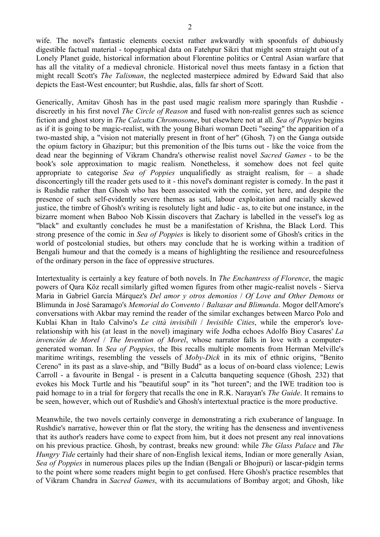wife. The novel's fantastic elements coexist rather awkwardly with spoonfuls of dubiously digestible factual material - topographical data on Fatehpur Sikri that might seem straight out of a Lonely Planet guide, historical information about Florentine politics or Central Asian warfare that has all the vitality of a medieval chronicle. Historical novel thus meets fantasy in a fiction that might recall Scott's *The Talisman*, the neglected masterpiece admired by Edward Said that also depicts the East-West encounter; but Rushdie, alas, falls far short of Scott.

Generically, Amitav Ghosh has in the past used magic realism more sparingly than Rushdie discreetly in his first novel *The Circle of Reason* and fused with non-realist genres such as science fiction and ghost story in *The Calcutta Chromosome*, but elsewhere not at all. *Sea of Poppies* begins as if it is going to be magic-realist, with the young Bihari woman Deeti "seeing" the apparition of a two-masted ship, a "vision not materially present in front of her" (Ghosh*,* 7) on the Ganga outside the opium factory in Ghazipur; but this premonition of the Ibis turns out - like the voice from the dead near the beginning of Vikram Chandra's otherwise realist novel *Sacred Games* - to be the book's sole approximation to magic realism. Nonetheless, it somehow does not feel quite appropriate to categorise *Sea of Poppies* unqualifiedly as straight realism, for – a shade disconcertingly till the reader gets used to it - this novel's dominant register is comedy. In the past it is Rushdie rather than Ghosh who has been associated with the comic, yet here, and despite the presence of such self-evidently severe themes as sati, labour exploitation and racially skewed justice, the timbre of Ghosh's writing is resolutely light and ludic - as, to cite but one instance, in the bizarre moment when Baboo Nob Kissin discovers that Zachary is labelled in the vessel's log as "black" and exultantly concludes he must be a manifestation of Krishna, the Black Lord. This strong presence of the comic in *Sea of Poppies* is likely to disorient some of Ghosh's critics in the world of postcolonial studies, but others may conclude that he is working within a tradition of Bengali humour and that the comedy is a means of highlighting the resilience and resourcefulness of the ordinary person in the face of oppressive structures.

Intertextuality is certainly a key feature of both novels. In *The Enchantress of Florence*, the magic powers of Qara Köz recall similarly gifted women figures from other magic-realist novels - Sierva Maria in Gabriel García Márquez's *Del amor y otros demonios* / *Of Love and Other Demons* or Blimunda in José Saramago's *Memorial do Convento* / *Baltasar and Blimunda*. Mogor dell'Amore's conversations with Akbar may remind the reader of the similar exchanges between Marco Polo and Kublai Khan in Italo Calvino's *Le città invisibili* / *Invisible Cities*, while the emperor's loverelationship with his (at least in the novel) imaginary wife Jodha echoes Adolfo Bioy Casares' *La invención de Morel* / *The Invention of Morel*, whose narrator falls in love with a computergenerated woman. In *Sea of Poppies*, the Ibis recalls multiple moments from Herman Melville's maritime writings, resembling the vessels of *Moby-Dick* in its mix of ethnic origins, "Benito Cereno" in its past as a slave-ship, and "Billy Budd" as a locus of on-board class violence; Lewis Carroll - a favourite in Bengal - is present in a Calcutta banqueting sequence (Ghosh*,* 232) that evokes his Mock Turtle and his "beautiful soup" in its "hot tureen"; and the IWE tradition too is paid homage to in a trial for forgery that recalls the one in R.K. Narayan's *The Guide*. It remains to be seen, however, which out of Rushdie's and Ghosh's intertextual practice is the more productive.

Meanwhile, the two novels certainly converge in demonstrating a rich exuberance of language. In Rushdie's narrative, however thin or flat the story, the writing has the denseness and inventiveness that its author's readers have come to expect from him, but it does not present any real innovations on his previous practice. Ghosh, by contrast, breaks new ground: while *The Glass Palace* and *The Hungry Tide* certainly had their share of non-English lexical items, Indian or more generally Asian, *Sea of Poppies* in numerous places piles up the Indian (Bengali or Bhojpuri) or lascar-pidgin terms to the point where some readers might begin to get confused. Here Ghosh's practice resembles that of Vikram Chandra in *Sacred Games*, with its accumulations of Bombay argot; and Ghosh, like